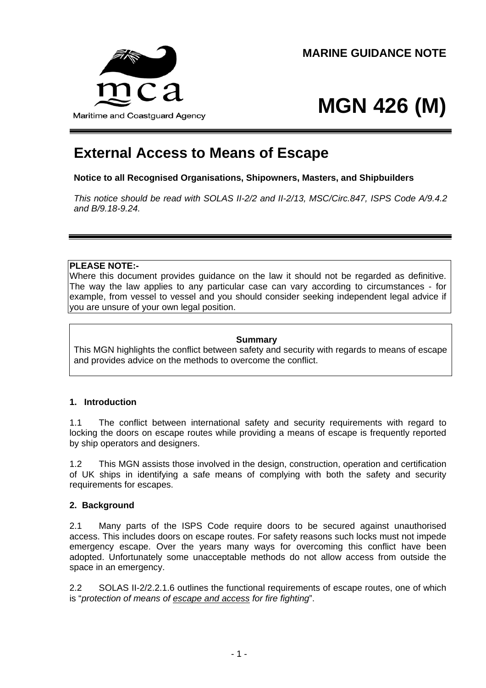

# **MGN 426 (M)**

# **External Access to Means of Escape**

# **Notice to all Recognised Organisations, Shipowners, Masters, and Shipbuilders**

*This notice should be read with SOLAS II-2/2 and II-2/13, MSC/Circ.847, ISPS Code A/9.4.2 and B/9.18-9.24.* 

# **PLEASE NOTE:-**

Where this document provides guidance on the law it should not be regarded as definitive. The way the law applies to any particular case can vary according to circumstances - for example, from vessel to vessel and you should consider seeking independent legal advice if you are unsure of your own legal position.

#### **Summary**

This MGN highlights the conflict between safety and security with regards to means of escape and provides advice on the methods to overcome the conflict.

## **1. Introduction**

1.1 The conflict between international safety and security requirements with regard to locking the doors on escape routes while providing a means of escape is frequently reported by ship operators and designers.

1.2 This MGN assists those involved in the design, construction, operation and certification of UK ships in identifying a safe means of complying with both the safety and security requirements for escapes.

## **2. Background**

2.1 Many parts of the ISPS Code require doors to be secured against unauthorised access. This includes doors on escape routes. For safety reasons such locks must not impede emergency escape. Over the years many ways for overcoming this conflict have been adopted. Unfortunately some unacceptable methods do not allow access from outside the space in an emergency.

2.2 SOLAS II-2/2.2.1.6 outlines the functional requirements of escape routes, one of which is "*protection of means of escape and access for fire fighting*".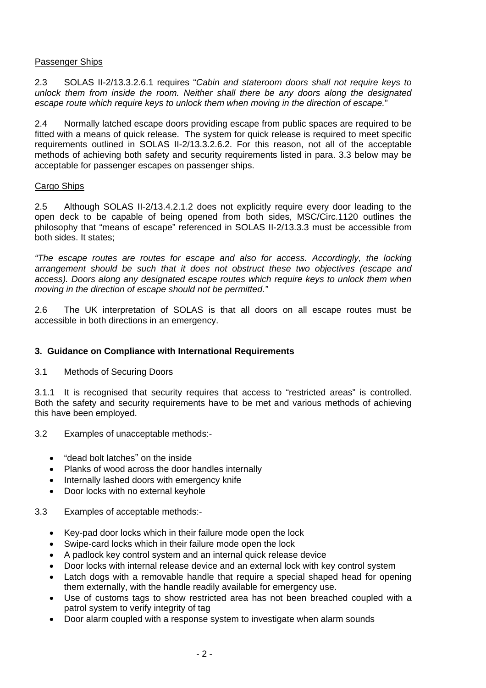#### Passenger Ships

2.3 SOLAS II-2/13.3.2.6.1 requires "*Cabin and stateroom doors shall not require keys to unlock them from inside the room. Neither shall there be any doors along the designated escape route which require keys to unlock them when moving in the direction of escape.*"

2.4 Normally latched escape doors providing escape from public spaces are required to be fitted with a means of quick release. The system for quick release is required to meet specific requirements outlined in SOLAS II-2/13.3.2.6.2. For this reason, not all of the acceptable methods of achieving both safety and security requirements listed in para. 3.3 below may be acceptable for passenger escapes on passenger ships.

#### Cargo Ships

2.5 Although SOLAS II-2/13.4.2.1.2 does not explicitly require every door leading to the open deck to be capable of being opened from both sides, MSC/Circ.1120 outlines the philosophy that "means of escape" referenced in SOLAS II-2/13.3.3 must be accessible from both sides. It states;

*"The escape routes are routes for escape and also for access. Accordingly, the locking arrangement should be such that it does not obstruct these two objectives (escape and access). Doors along any designated escape routes which require keys to unlock them when moving in the direction of escape should not be permitted."* 

2.6 The UK interpretation of SOLAS is that all doors on all escape routes must be accessible in both directions in an emergency.

#### **3. Guidance on Compliance with International Requirements**

3.1 Methods of Securing Doors

3.1.1 It is recognised that security requires that access to "restricted areas" is controlled. Both the safety and security requirements have to be met and various methods of achieving this have been employed.

- 3.2 Examples of unacceptable methods:-
	- "dead bolt latches" on the inside
	- Planks of wood across the door handles internally
	- Internally lashed doors with emergency knife
	- Door locks with no external keyhole

#### 3.3 Examples of acceptable methods:-

- Key-pad door locks which in their failure mode open the lock
- Swipe-card locks which in their failure mode open the lock
- A padlock key control system and an internal quick release device
- Door locks with internal release device and an external lock with key control system
- Latch dogs with a removable handle that require a special shaped head for opening them externally, with the handle readily available for emergency use.
- Use of customs tags to show restricted area has not been breached coupled with a patrol system to verify integrity of tag
- Door alarm coupled with a response system to investigate when alarm sounds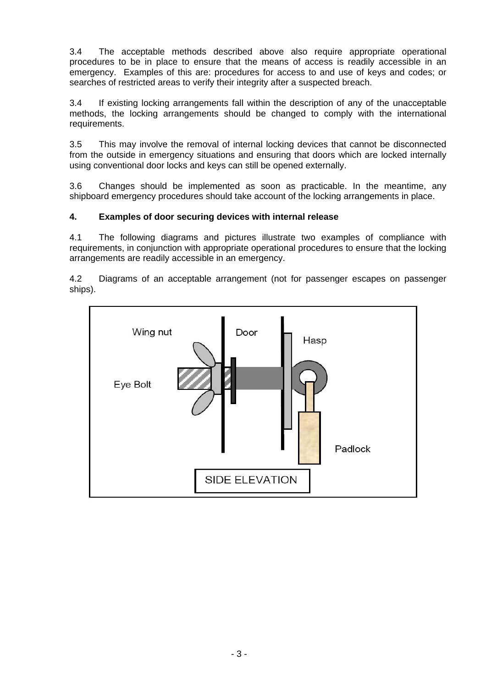3.4 The acceptable methods described above also require appropriate operational procedures to be in place to ensure that the means of access is readily accessible in an emergency. Examples of this are: procedures for access to and use of keys and codes; or searches of restricted areas to verify their integrity after a suspected breach.

3.4 If existing locking arrangements fall within the description of any of the unacceptable methods, the locking arrangements should be changed to comply with the international requirements.

3.5 This may involve the removal of internal locking devices that cannot be disconnected from the outside in emergency situations and ensuring that doors which are locked internally using conventional door locks and keys can still be opened externally.

3.6 Changes should be implemented as soon as practicable. In the meantime, any shipboard emergency procedures should take account of the locking arrangements in place.

#### **4. Examples of door securing devices with internal release**

4.1 The following diagrams and pictures illustrate two examples of compliance with requirements, in conjunction with appropriate operational procedures to ensure that the locking arrangements are readily accessible in an emergency.

4.2 Diagrams of an acceptable arrangement (not for passenger escapes on passenger ships).

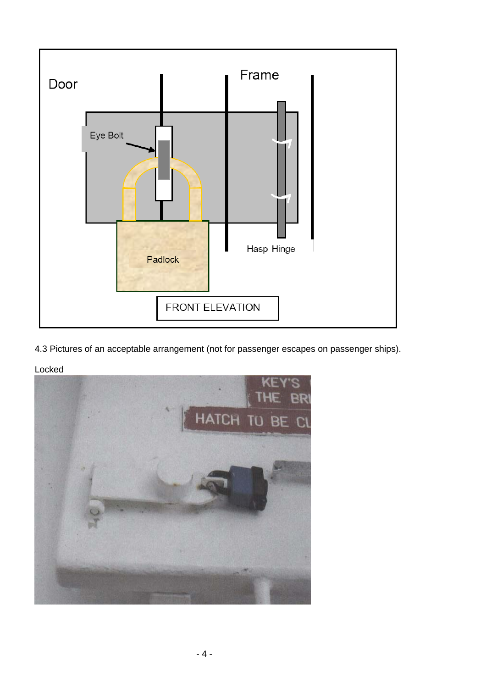

4.3 Pictures of an acceptable arrangement (not for passenger escapes on passenger ships).



Locked